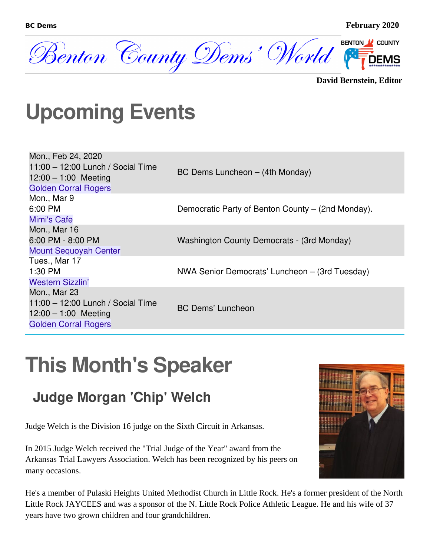

**David Bernstein, Editor**

### **Upcoming Events**

| Mon., Feb 24, 2020<br>$11:00 - 12:00$ Lunch / Social Time<br>$12:00 - 1:00$ Meeting<br><b>Golden Corral Rogers</b> | BC Dems Luncheon - (4th Monday)                   |
|--------------------------------------------------------------------------------------------------------------------|---------------------------------------------------|
| Mon., Mar 9<br>6:00 PM<br>Mimi's Cafe                                                                              | Democratic Party of Benton County – (2nd Monday). |
| Mon., Mar 16<br>6:00 PM - 8:00 PM<br><b>Mount Sequoyah Center</b>                                                  | Washington County Democrats - (3rd Monday)        |
| Tues., Mar 17<br>1:30 PM<br><b>Western Sizzlin'</b>                                                                | NWA Senior Democrats' Luncheon – (3rd Tuesday)    |
| Mon., Mar 23<br>11:00 - 12:00 Lunch / Social Time<br>$12:00 - 1:00$ Meeting<br><b>Golden Corral Rogers</b>         | <b>BC Dems' Luncheon</b>                          |

### **This Month's Speaker**

### **Judge Morgan 'Chip' Welch**

Judge Welch is the Division 16 judge on the Sixth Circuit in Arkansas.

In 2015 Judge Welch received the "Trial Judge of the Year" award from the Arkansas Trial Lawyers Association. Welch has been recognized by his peers on many occasions.



He's a member of Pulaski Heights United Methodist Church in Little Rock. He's a former president of the North Little Rock JAYCEES and was a sponsor of the N. Little Rock Police Athletic League. He and his wife of 37 years have two grown children and four grandchildren.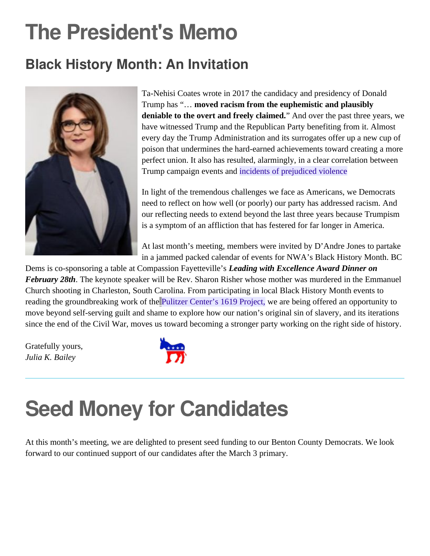### **The President's Memo**

### **Black History Month: An Invitation**



Ta-Nehisi Coates wrote in 2017 the candidacy and presidency of Donald Trump has "… **moved racism from the euphemistic and plausibly deniable to the overt and freely claimed.**" And over the past three years, we have witnessed Trump and the Republican Party benefiting from it. Almost every day the Trump Administration and its surrogates offer up a new cup of poison that undermines the hard-earned achievements toward creating a more perfect union. It also has resulted, alarmingly, in a clear correlation between Trump campaign events and [incidents of prejudiced violence](https://papers.ssrn.com/sol3/papers.cfm?abstract_id=3102652)

In light of the tremendous challenges we face as Americans, we Democrats need to reflect on how well (or poorly) our party has addressed racism. And our reflecting needs to extend beyond the last three years because Trumpism is a symptom of an affliction that has festered for far longer in America.

At last month's meeting, members were invited by D'Andre Jones to partake in a jammed packed calendar of events for NWA's Black History Month. BC

Dems is co-sponsoring a table at Compassion Fayetteville's *Leading with Excellence Award Dinner on February 28th*. The keynote speaker will be Rev. Sharon Risher whose mother was murdered in the Emmanuel Church shooting in Charleston, South Carolina. From participating in local Black History Month events to reading the groundbreaking work of the [Pulitzer Center's 1619 Project,](https://pulitzercenter.org/sites/default/files/full_issue_of_the_1619_project.pdf) we are being offered an opportunity to move beyond self-serving guilt and shame to explore how our nation's original sin of slavery, and its iterations since the end of the Civil War, moves us toward becoming a stronger party working on the right side of history.

Gratefully yours, *Julia K. Bailey*



### **Seed Money for Candidates**

At this month's meeting, we are delighted to present seed funding to our Benton County Democrats. We look forward to our continued support of our candidates after the March 3 primary.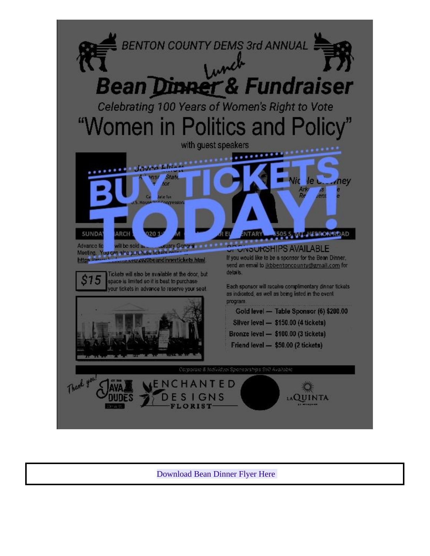

[Download Bean Dinner Flyer Here](https://gallery.mailchimp.com/164e810601a013c180cabf0d7/files/b5294f9e-2b38-4a0c-8eae-af21c5dbd1d5/Bean_Dinner_Flyers_2020_v8_Copy.pdf)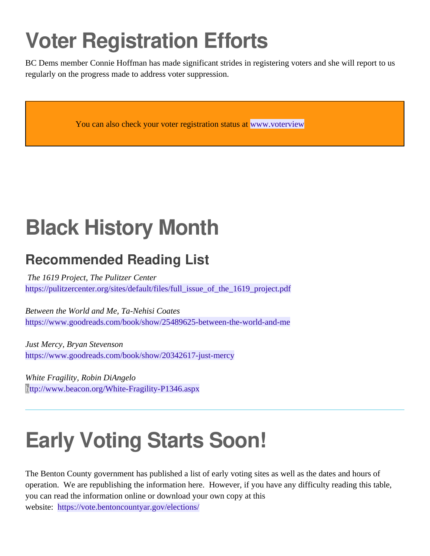# **Voter Registration Efforts**

BC Dems member Connie Hoffman has made significant strides in registering voters and she will report to us regularly on the progress made to address voter suppression.

You can also check your voter registration status at [www.voterview](https://www.voterview.ar-nova.org/voterview)

# **Black History Month**

### **Recommended Reading List**

*The 1619 Project, The Pulitzer Center* [https://pulitzercenter.org/sites/default/files/full\\_issue\\_of\\_the\\_1619\\_project.pdf](https://pulitzercenter.org/sites/default/files/full_issue_of_the_1619_project.pdf)

*Between the World and Me, Ta-Nehisi Coates* <https://www.goodreads.com/book/show/25489625-between-the-world-and-me>

*Just Mercy, Bryan Stevenson* <https://www.goodreads.com/book/show/20342617-just-mercy>

*White Fragility, Robin DiAngelo* <http://www.beacon.org/White-Fragility-P1346.aspx>

# **Early Voting Starts Soon!**

The Benton County government has published a list of early voting sites as well as the dates and hours of operation. We are republishing the information here. However, if you have any difficulty reading this table, you can read the information online or download your own copy at this website: <https://vote.bentoncountyar.gov/elections/>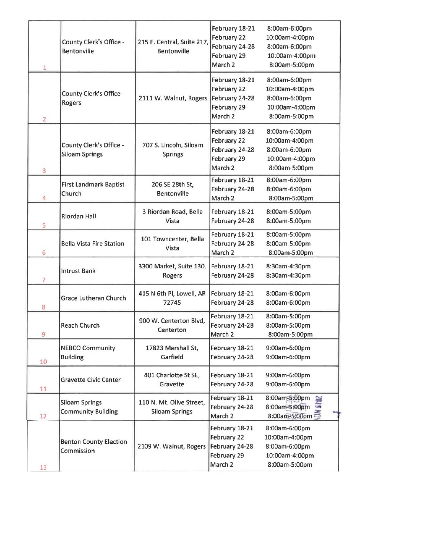|                |                                 |                                          | February 18-21                                                                                                                                                                                                                                        | 8:00am-6:00pm                   |
|----------------|---------------------------------|------------------------------------------|-------------------------------------------------------------------------------------------------------------------------------------------------------------------------------------------------------------------------------------------------------|---------------------------------|
|                |                                 |                                          | February 22                                                                                                                                                                                                                                           | 10:00am-4:00pm                  |
|                | County Clerk's Office -         | 215 E. Central, Suite 217,               | February 24-28                                                                                                                                                                                                                                        | 8:00am-6:00pm                   |
|                | Bentonville                     | <b>Bentonville</b>                       | February 29                                                                                                                                                                                                                                           | 10:00am-4:00pm                  |
|                |                                 |                                          | March <sub>2</sub>                                                                                                                                                                                                                                    | 8:00am-5:00pm                   |
| $\mathbf{1}$   |                                 |                                          |                                                                                                                                                                                                                                                       |                                 |
|                |                                 |                                          | February 18-21                                                                                                                                                                                                                                        | 8:00am-6:00pm                   |
|                | <b>County Clerk's Office-</b>   |                                          | February 22                                                                                                                                                                                                                                           | 10:00am-4:00pm                  |
|                | Rogers                          | 2111 W. Walnut, Rogers                   | February 24-28                                                                                                                                                                                                                                        | 8:00am-6:00pm                   |
|                |                                 |                                          | February 29                                                                                                                                                                                                                                           | 10:00am-4:00pm                  |
| $\overline{2}$ |                                 |                                          | March 2                                                                                                                                                                                                                                               | 8:00am-5:00pm                   |
|                |                                 |                                          | February 18-21                                                                                                                                                                                                                                        | 8:00am-6:00pm                   |
|                |                                 | 707 S. Lincoln, Siloam<br><b>Springs</b> | February 22                                                                                                                                                                                                                                           | 10:00am-4:00pm                  |
|                | County Clerk's Office -         |                                          | February 24-28                                                                                                                                                                                                                                        | 8:00am-6:00pm                   |
|                | <b>Siloam Springs</b>           |                                          | February 29                                                                                                                                                                                                                                           | 10:00am-4:00pm                  |
| $\overline{3}$ |                                 |                                          | March 2                                                                                                                                                                                                                                               | 8:00am-5:00pm                   |
|                |                                 |                                          | February 18-21                                                                                                                                                                                                                                        | 8:00am-6:00pm                   |
|                | <b>First Landmark Baptist</b>   | 206 SE 28th St,                          | February 24-28                                                                                                                                                                                                                                        | 8:00am-6:00pm                   |
| 4              | Church                          | <b>Bentonville</b>                       |                                                                                                                                                                                                                                                       | 8:00am-5:00pm                   |
|                |                                 |                                          |                                                                                                                                                                                                                                                       |                                 |
|                | <b>Riordan Hall</b>             | 3 Riordan Road, Bella                    |                                                                                                                                                                                                                                                       | 8:00am-5:00pm                   |
| 5              |                                 | Vista                                    |                                                                                                                                                                                                                                                       | 8:00am-5:00pm                   |
|                |                                 |                                          | February 18-21                                                                                                                                                                                                                                        | 8:00am-5:00pm                   |
|                | <b>Bella Vista Fire Station</b> | 101 Towncenter, Bella                    | February 24-28                                                                                                                                                                                                                                        | 8:00am-5:00pm                   |
| 6              |                                 | Vista                                    | March 2                                                                                                                                                                                                                                               | 8:00am-5:00pm                   |
|                |                                 | 3300 Market, Suite 130,                  |                                                                                                                                                                                                                                                       | 8:30am-4:30pm                   |
| 7              | <b>Intrust Bank</b>             | Rogers                                   | February 24-28                                                                                                                                                                                                                                        | 8:30am-4:30pm                   |
|                |                                 |                                          |                                                                                                                                                                                                                                                       |                                 |
|                | Grace Lutheran Church           | 415 N 6th Pl, Lowell, AR                 |                                                                                                                                                                                                                                                       | 8:00am-6:00pm                   |
| 8              |                                 | 72745                                    |                                                                                                                                                                                                                                                       | 8:00am-6:00pm                   |
|                |                                 | 900 W. Centerton Blvd,                   | February 18-21                                                                                                                                                                                                                                        | 8:00am-5:00pm                   |
|                | <b>Reach Church</b>             | Centerton                                | February 24-28                                                                                                                                                                                                                                        | 8:00am-5:00pm                   |
| 9              |                                 |                                          | March 2<br>February 18-21<br>February 24-28<br>February 18-21<br>February 18-21<br>February 24-28<br>March 2<br>February 18-21<br>February 24-28<br>February 18-21<br>February 24-28<br>February 18-21<br>February 24-28<br>March 2<br>February 18-21 | 8:00am-5:00pm                   |
|                | <b>NEBCO Community</b>          | 17823 Marshall St,                       |                                                                                                                                                                                                                                                       | 9:00am-6:00pm                   |
|                | <b>Building</b>                 | Garfield                                 |                                                                                                                                                                                                                                                       | 9:00am-6:00pm                   |
| 10             |                                 |                                          |                                                                                                                                                                                                                                                       |                                 |
|                | <b>Gravette Civic Center</b>    | 401 Charlotte St SE,                     |                                                                                                                                                                                                                                                       | 9:00am-6:00pm                   |
| 11             |                                 | Gravette                                 |                                                                                                                                                                                                                                                       | 9:00am-6:00pm                   |
|                |                                 |                                          |                                                                                                                                                                                                                                                       | 8:00am-5:00pm                   |
|                | <b>Siloam Springs</b>           | 110 N. Mt. Olive Street,                 |                                                                                                                                                                                                                                                       | 8:00am-5:00pm                   |
| 12             | <b>Community Building</b>       | <b>Siloam Springs</b>                    |                                                                                                                                                                                                                                                       | 8:00am-5:00pm                   |
|                |                                 |                                          |                                                                                                                                                                                                                                                       | 8:00am-6:00pm                   |
|                | <b>Benton County Election</b>   | 2109 W. Walnut, Rogers                   | February 22                                                                                                                                                                                                                                           | 10:00am-4:00pm                  |
|                |                                 |                                          |                                                                                                                                                                                                                                                       |                                 |
|                |                                 |                                          |                                                                                                                                                                                                                                                       |                                 |
|                | Commission                      |                                          | February 24-28<br>February 29                                                                                                                                                                                                                         | 8:00am-6:00pm<br>10:00am-4:00pm |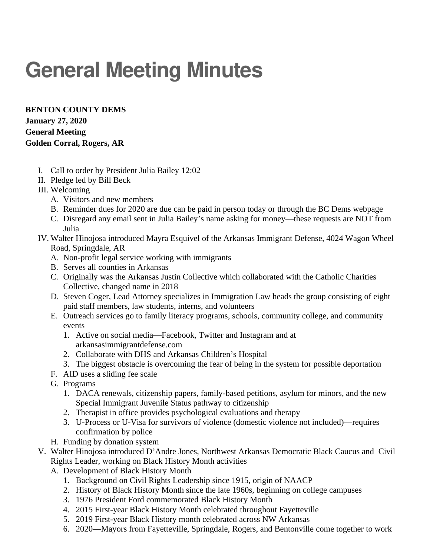# **General Meeting Minutes**

**BENTON COUNTY DEMS January 27, 2020 General Meeting Golden Corral, Rogers, AR**

- I. Call to order by President Julia Bailey 12:02
- II. Pledge led by Bill Beck
- III. Welcoming
	- A. Visitors and new members
	- B. Reminder dues for 2020 are due can be paid in person today or through the BC Dems webpage
	- C. Disregard any email sent in Julia Bailey's name asking for money—these requests are NOT from Julia
- IV. Walter Hinojosa introduced Mayra Esquivel of the Arkansas Immigrant Defense, 4024 Wagon Wheel Road, Springdale, AR
	- A. Non-profit legal service working with immigrants
	- B. Serves all counties in Arkansas
	- C. Originally was the Arkansas Justin Collective which collaborated with the Catholic Charities Collective, changed name in 2018
	- D. Steven Coger, Lead Attorney specializes in Immigration Law heads the group consisting of eight paid staff members, law students, interns, and volunteers
	- E. Outreach services go to family literacy programs, schools, community college, and community events
		- 1. Active on social media—Facebook, Twitter and Instagram and at arkansasimmigrantdefense.com
		- 2. Collaborate with DHS and Arkansas Children's Hospital
		- 3. The biggest obstacle is overcoming the fear of being in the system for possible deportation
	- F. AID uses a sliding fee scale
	- G. Programs
		- 1. DACA renewals, citizenship papers, family-based petitions, asylum for minors, and the new Special Immigrant Juvenile Status pathway to citizenship
		- 2. Therapist in office provides psychological evaluations and therapy
		- 3. U-Process or U-Visa for survivors of violence (domestic violence not included)—requires confirmation by police
	- H. Funding by donation system
- V. Walter Hinojosa introduced D'Andre Jones, Northwest Arkansas Democratic Black Caucus and Civil Rights Leader, working on Black History Month activities
	- A. Development of Black History Month
		- 1. Background on Civil Rights Leadership since 1915, origin of NAACP
		- 2. History of Black History Month since the late 1960s, beginning on college campuses
		- 3. 1976 President Ford commemorated Black History Month
		- 4. 2015 First-year Black History Month celebrated throughout Fayetteville
		- 5. 2019 First-year Black History month celebrated across NW Arkansas
		- 6. 2020—Mayors from Fayetteville, Springdale, Rogers, and Bentonville come together to work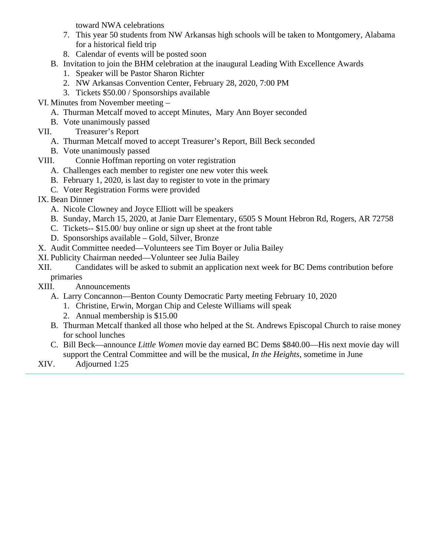toward NWA celebrations

- 7. This year 50 students from NW Arkansas high schools will be taken to Montgomery, Alabama for a historical field trip
- 8. Calendar of events will be posted soon
- B. Invitation to join the BHM celebration at the inaugural Leading With Excellence Awards
	- 1. Speaker will be Pastor Sharon Richter
	- 2. NW Arkansas Convention Center, February 28, 2020, 7:00 PM
	- 3. Tickets \$50.00 / Sponsorships available
- VI. Minutes from November meeting
	- A. Thurman Metcalf moved to accept Minutes, Mary Ann Boyer seconded
		- B. Vote unanimously passed
- VII. Treasurer's Report
	- A. Thurman Metcalf moved to accept Treasurer's Report, Bill Beck seconded
	- B. Vote unanimously passed
- VIII. Connie Hoffman reporting on voter registration
	- A. Challenges each member to register one new voter this week
	- B. February 1, 2020, is last day to register to vote in the primary
	- C. Voter Registration Forms were provided
- IX. Bean Dinner
	- A. Nicole Clowney and Joyce Elliott will be speakers
	- B. Sunday, March 15, 2020, at Janie Darr Elementary, 6505 S Mount Hebron Rd, Rogers, AR 72758
	- C. Tickets-- \$15.00/ buy online or sign up sheet at the front table
	- D. Sponsorships available Gold, Silver, Bronze
- X. Audit Committee needed—Volunteers see Tim Boyer or Julia Bailey
- XI. Publicity Chairman needed—Volunteer see Julia Bailey
- XII. Candidates will be asked to submit an application next week for BC Dems contribution before primaries
- XIII. Announcements
	- A. Larry Concannon—Benton County Democratic Party meeting February 10, 2020
		- 1. Christine, Erwin, Morgan Chip and Celeste Williams will speak
		- 2. Annual membership is \$15.00
	- B. Thurman Metcalf thanked all those who helped at the St. Andrews Episcopal Church to raise money for school lunches
	- C. Bill Beck—announce *Little Women* movie day earned BC Dems \$840.00—His next movie day will support the Central Committee and will be the musical, *In the Heights*, sometime in June
- XIV. Adjourned 1:25